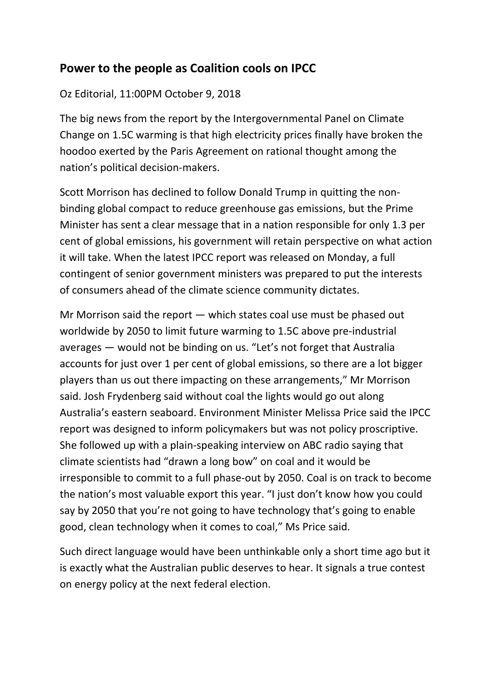## **Power to the people as Coalition cools on IPCC**

## Oz Editorial, 11:00PM October 9, 2018

The big news from the report by the Intergovernmental Panel on Climate Change on 1.5C warming is that high electricity prices finally have broken the hoodoo exerted by the Paris Agreement on rational thought among the nation's political decision-makers.

Scott Morrison has declined to follow Donald Trump in quitting the nonbinding global compact to reduce greenhouse gas emissions, but the Prime Minister has sent a clear message that in a nation responsible for only 1.3 per cent of global emissions, his government will retain perspective on what action it will take. When the latest IPCC report was released on Monday, a full contingent of senior government ministers was prepared to put the interests of consumers ahead of the climate science community dictates.

Mr Morrison said the report — which states coal use must be phased out worldwide by 2050 to limit future warming to 1.5C above pre-industrial averages — would not be binding on us. "Let's not forget that Australia accounts for just over 1 per cent of global emissions, so there are a lot bigger players than us out there impacting on these arrangements," Mr Morrison said. Josh Frydenberg said without coal the lights would go out along Australia's eastern seaboard. Environment Minister Melissa Price said the IPCC report was designed to inform policymakers but was not policy proscriptive. She followed up with a plain-speaking interview on ABC radio saying that climate scientists had "drawn a long bow" on coal and it would be irresponsible to commit to a full phase-out by 2050. Coal is on track to become the nation's most valuable export this year. "I just don't know how you could say by 2050 that you're not going to have technology that's going to enable good, clean technology when it comes to coal," Ms Price said.

Such direct language would have been unthinkable only a short time ago but it is exactly what the Australian public deserves to hear. It signals a true contest on energy policy at the next federal election.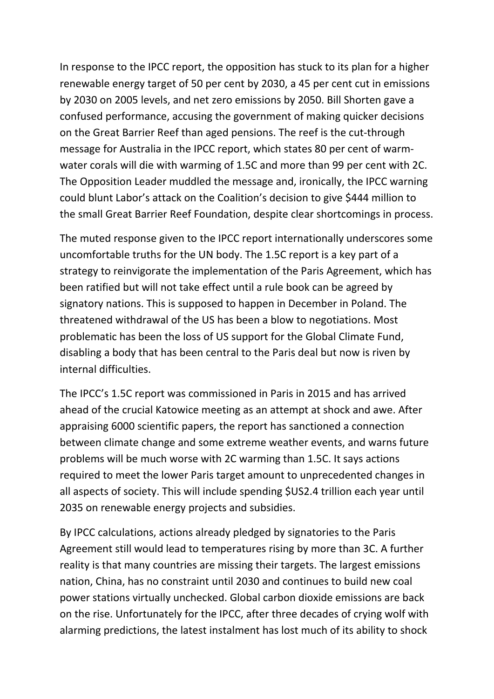In response to the IPCC report, the opposition has stuck to its plan for a higher renewable energy target of 50 per cent by 2030, a 45 per cent cut in emissions by 2030 on 2005 levels, and net zero emissions by 2050. Bill Shorten gave a confused performance, accusing the government of making quicker decisions on the Great Barrier Reef than aged pensions. The reef is the cut-through message for Australia in the IPCC report, which states 80 per cent of warmwater corals will die with warming of 1.5C and more than 99 per cent with 2C. The Opposition Leader muddled the message and, ironically, the IPCC warning could blunt Labor's attack on the Coalition's decision to give \$444 million to the small Great Barrier Reef Foundation, despite clear shortcomings in process.

The muted response given to the IPCC report internationally underscores some uncomfortable truths for the UN body. The 1.5C report is a key part of a strategy to reinvigorate the implementation of the Paris Agreement, which has been ratified but will not take effect until a rule book can be agreed by signatory nations. This is supposed to happen in December in Poland. The threatened withdrawal of the US has been a blow to negotiations. Most problematic has been the loss of US support for the Global Climate Fund, disabling a body that has been central to the Paris deal but now is riven by internal difficulties.

The IPCC's 1.5C report was commissioned in Paris in 2015 and has arrived ahead of the crucial Katowice meeting as an attempt at shock and awe. After appraising 6000 scientific papers, the report has sanctioned a connection between climate change and some extreme weather events, and warns future problems will be much worse with 2C warming than 1.5C. It says actions required to meet the lower Paris target amount to unprecedented changes in all aspects of society. This will include spending \$US2.4 trillion each year until 2035 on renewable energy projects and subsidies.

By IPCC calculations, actions already pledged by signatories to the Paris Agreement still would lead to temperatures rising by more than 3C. A further reality is that many countries are missing their targets. The largest emissions nation, China, has no constraint until 2030 and continues to build new coal power stations virtually unchecked. Global carbon dioxide emissions are back on the rise. Unfortunately for the IPCC, after three decades of crying wolf with alarming predictions, the latest instalment has lost much of its ability to shock